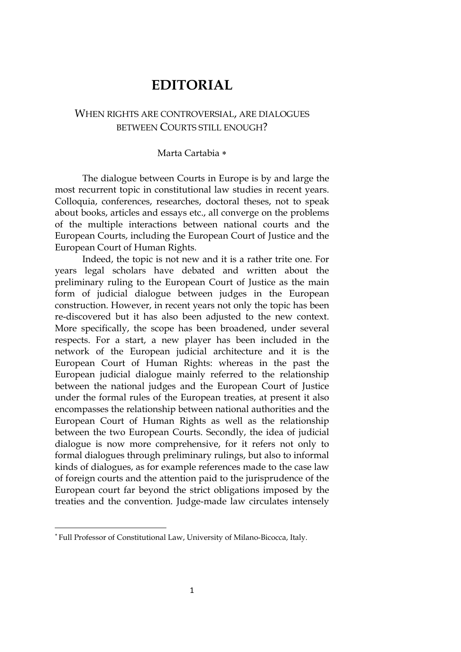## **EDITORIAL**

## WHEN RIGHTS ARE CONTROVERSIAL, ARE DIALOGUES BETWEEN COURTS STILL ENOUGH?

## Marta Cartabia ∗

The dialogue between Courts in Europe is by and large the most recurrent topic in constitutional law studies in recent years. Colloquia, conferences, researches, doctoral theses, not to speak about books, articles and essays etc., all converge on the problems of the multiple interactions between national courts and the European Courts, including the European Court of Justice and the European Court of Human Rights.

Indeed, the topic is not new and it is a rather trite one. For years legal scholars have debated and written about the preliminary ruling to the European Court of Justice as the main form of judicial dialogue between judges in the European construction. However, in recent years not only the topic has been re-discovered but it has also been adjusted to the new context. More specifically, the scope has been broadened, under several respects. For a start, a new player has been included in the network of the European judicial architecture and it is the European Court of Human Rights: whereas in the past the European judicial dialogue mainly referred to the relationship between the national judges and the European Court of Justice under the formal rules of the European treaties, at present it also encompasses the relationship between national authorities and the European Court of Human Rights as well as the relationship between the two European Courts. Secondly, the idea of judicial dialogue is now more comprehensive, for it refers not only to formal dialogues through preliminary rulings, but also to informal kinds of dialogues, as for example references made to the case law of foreign courts and the attention paid to the jurisprudence of the European court far beyond the strict obligations imposed by the treaties and the convention. Judge-made law circulates intensely

<sup>∗</sup> Full Professor of Constitutional Law, University of Milano-Bicocca, Italy.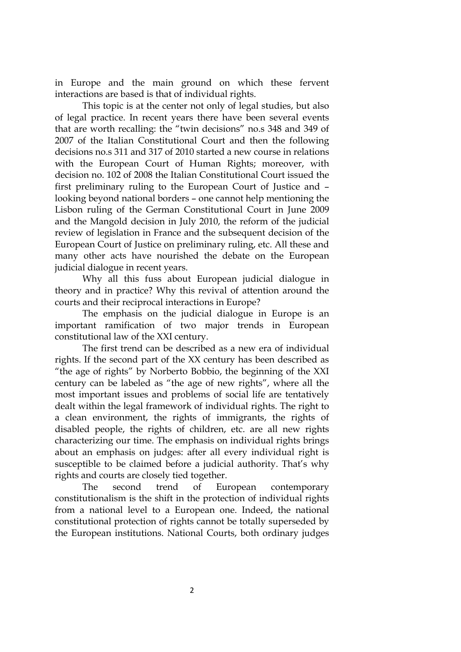in Europe and the main ground on which these fervent interactions are based is that of individual rights.

This topic is at the center not only of legal studies, but also of legal practice. In recent years there have been several events that are worth recalling: the "twin decisions" no.s 348 and 349 of 2007 of the Italian Constitutional Court and then the following decisions no.s 311 and 317 of 2010 started a new course in relations with the European Court of Human Rights; moreover, with decision no. 102 of 2008 the Italian Constitutional Court issued the first preliminary ruling to the European Court of Justice and – looking beyond national borders – one cannot help mentioning the Lisbon ruling of the German Constitutional Court in June 2009 and the Mangold decision in July 2010, the reform of the judicial review of legislation in France and the subsequent decision of the European Court of Justice on preliminary ruling, etc. All these and many other acts have nourished the debate on the European judicial dialogue in recent years.

Why all this fuss about European judicial dialogue in theory and in practice? Why this revival of attention around the courts and their reciprocal interactions in Europe?

The emphasis on the judicial dialogue in Europe is an important ramification of two major trends in European constitutional law of the XXI century.

The first trend can be described as a new era of individual rights. If the second part of the XX century has been described as "the age of rights" by Norberto Bobbio, the beginning of the XXI century can be labeled as "the age of new rights", where all the most important issues and problems of social life are tentatively dealt within the legal framework of individual rights. The right to a clean environment, the rights of immigrants, the rights of disabled people, the rights of children, etc. are all new rights characterizing our time. The emphasis on individual rights brings about an emphasis on judges: after all every individual right is susceptible to be claimed before a judicial authority. That's why rights and courts are closely tied together.

The second trend of European contemporary constitutionalism is the shift in the protection of individual rights from a national level to a European one. Indeed, the national constitutional protection of rights cannot be totally superseded by the European institutions. National Courts, both ordinary judges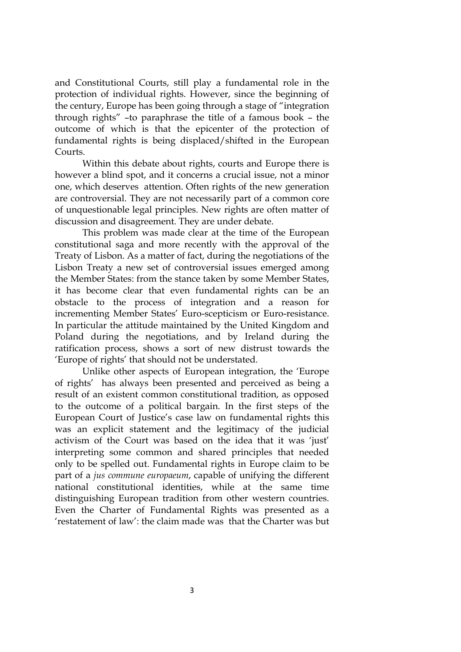and Constitutional Courts, still play a fundamental role in the protection of individual rights. However, since the beginning of the century, Europe has been going through a stage of "integration through rights" –to paraphrase the title of a famous book – the outcome of which is that the epicenter of the protection of fundamental rights is being displaced/shifted in the European Courts.

Within this debate about rights, courts and Europe there is however a blind spot, and it concerns a crucial issue, not a minor one, which deserves attention. Often rights of the new generation are controversial. They are not necessarily part of a common core of unquestionable legal principles. New rights are often matter of discussion and disagreement. They are under debate.

This problem was made clear at the time of the European constitutional saga and more recently with the approval of the Treaty of Lisbon. As a matter of fact, during the negotiations of the Lisbon Treaty a new set of controversial issues emerged among the Member States: from the stance taken by some Member States, it has become clear that even fundamental rights can be an obstacle to the process of integration and a reason for incrementing Member States' Euro-scepticism or Euro-resistance. In particular the attitude maintained by the United Kingdom and Poland during the negotiations, and by Ireland during the ratification process, shows a sort of new distrust towards the 'Europe of rights' that should not be understated.

Unlike other aspects of European integration, the 'Europe of rights' has always been presented and perceived as being a result of an existent common constitutional tradition, as opposed to the outcome of a political bargain. In the first steps of the European Court of Justice's case law on fundamental rights this was an explicit statement and the legitimacy of the judicial activism of the Court was based on the idea that it was 'just' interpreting some common and shared principles that needed only to be spelled out. Fundamental rights in Europe claim to be part of a *jus commune europaeum*, capable of unifying the different national constitutional identities, while at the same time distinguishing European tradition from other western countries. Even the Charter of Fundamental Rights was presented as a 'restatement of law': the claim made was that the Charter was but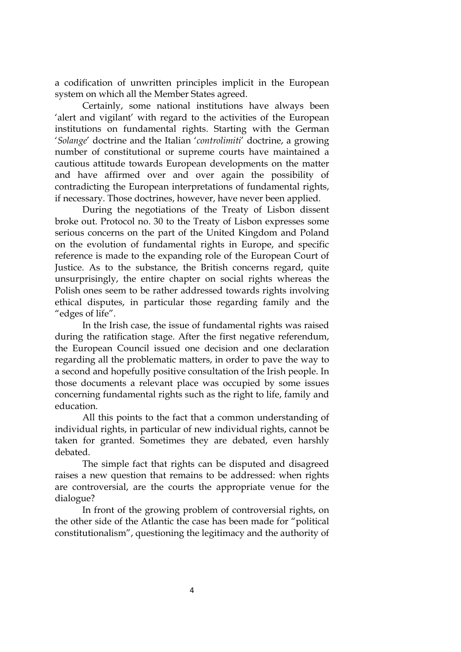a codification of unwritten principles implicit in the European system on which all the Member States agreed.

Certainly, some national institutions have always been 'alert and vigilant' with regard to the activities of the European institutions on fundamental rights. Starting with the German '*Solange*' doctrine and the Italian '*controlimiti*' doctrine, a growing number of constitutional or supreme courts have maintained a cautious attitude towards European developments on the matter and have affirmed over and over again the possibility of contradicting the European interpretations of fundamental rights, if necessary. Those doctrines, however, have never been applied.

During the negotiations of the Treaty of Lisbon dissent broke out. Protocol no. 30 to the Treaty of Lisbon expresses some serious concerns on the part of the United Kingdom and Poland on the evolution of fundamental rights in Europe, and specific reference is made to the expanding role of the European Court of Justice. As to the substance, the British concerns regard, quite unsurprisingly, the entire chapter on social rights whereas the Polish ones seem to be rather addressed towards rights involving ethical disputes, in particular those regarding family and the "edges of life".

In the Irish case, the issue of fundamental rights was raised during the ratification stage. After the first negative referendum, the European Council issued one decision and one declaration regarding all the problematic matters, in order to pave the way to a second and hopefully positive consultation of the Irish people. In those documents a relevant place was occupied by some issues concerning fundamental rights such as the right to life, family and education.

All this points to the fact that a common understanding of individual rights, in particular of new individual rights, cannot be taken for granted. Sometimes they are debated, even harshly debated.

The simple fact that rights can be disputed and disagreed raises a new question that remains to be addressed: when rights are controversial, are the courts the appropriate venue for the dialogue?

In front of the growing problem of controversial rights, on the other side of the Atlantic the case has been made for "political constitutionalism", questioning the legitimacy and the authority of